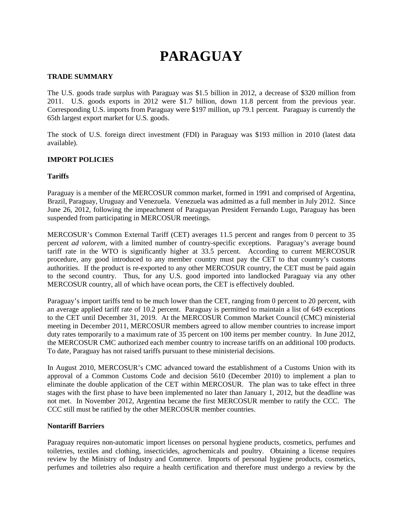# **PARAGUAY**

# **TRADE SUMMARY**

The U.S. goods trade surplus with Paraguay was \$1.5 billion in 2012, a decrease of \$320 million from 2011. U.S. goods exports in 2012 were \$1.7 billion, down 11.8 percent from the previous year. Corresponding U.S. imports from Paraguay were \$197 million, up 79.1 percent. Paraguay is currently the 65th largest export market for U.S. goods.

The stock of U.S. foreign direct investment (FDI) in Paraguay was \$193 million in 2010 (latest data available).

# **IMPORT POLICIES**

# **Tariffs**

Paraguay is a member of the MERCOSUR common market, formed in 1991 and comprised of Argentina, Brazil, Paraguay, Uruguay and Venezuela. Venezuela was admitted as a full member in July 2012. Since June 26, 2012, following the impeachment of Paraguayan President Fernando Lugo, Paraguay has been suspended from participating in MERCOSUR meetings.

MERCOSUR's Common External Tariff (CET) averages 11.5 percent and ranges from 0 percent to 35 percent *ad valorem*, with a limited number of country-specific exceptions. Paraguay's average bound tariff rate in the WTO is significantly higher at 33.5 percent. According to current MERCOSUR procedure, any good introduced to any member country must pay the CET to that country's customs authorities. If the product is re-exported to any other MERCOSUR country, the CET must be paid again to the second country. Thus, for any U.S. good imported into landlocked Paraguay via any other MERCOSUR country, all of which have ocean ports, the CET is effectively doubled.

Paraguay's import tariffs tend to be much lower than the CET, ranging from 0 percent to 20 percent, with an average applied tariff rate of 10.2 percent. Paraguay is permitted to maintain a list of 649 exceptions to the CET until December 31, 2019. At the MERCOSUR Common Market Council (CMC) ministerial meeting in December 2011, MERCOSUR members agreed to allow member countries to increase import duty rates temporarily to a maximum rate of 35 percent on 100 items per member country. In June 2012, the MERCOSUR CMC authorized each member country to increase tariffs on an additional 100 products. To date, Paraguay has not raised tariffs pursuant to these ministerial decisions.

In August 2010, MERCOSUR's CMC advanced toward the establishment of a Customs Union with its approval of a Common Customs Code and decision 5610 (December 2010) to implement a plan to eliminate the double application of the CET within MERCOSUR. The plan was to take effect in three stages with the first phase to have been implemented no later than January 1, 2012, but the deadline was not met. In November 2012, Argentina became the first MERCOSUR member to ratify the CCC. The CCC still must be ratified by the other MERCOSUR member countries.

#### **Nontariff Barriers**

Paraguay requires non-automatic import licenses on personal hygiene products, cosmetics, perfumes and toiletries, textiles and clothing, insecticides, agrochemicals and poultry. Obtaining a license requires review by the Ministry of Industry and Commerce. Imports of personal hygiene products, cosmetics, perfumes and toiletries also require a health certification and therefore must undergo a review by the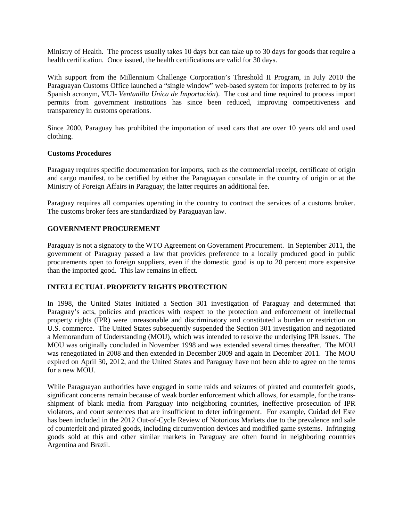Ministry of Health. The process usually takes 10 days but can take up to 30 days for goods that require a health certification. Once issued, the health certifications are valid for 30 days.

With support from the Millennium Challenge Corporation's Threshold II Program, in July 2010 the Paraguayan Customs Office launched a "single window" web-based system for imports (referred to by its Spanish acronym, VUI- *Ventanilla Unica de Importación*). The cost and time required to process import permits from government institutions has since been reduced, improving competitiveness and transparency in customs operations.

Since 2000, Paraguay has prohibited the importation of used cars that are over 10 years old and used clothing.

# **Customs Procedures**

Paraguay requires specific documentation for imports, such as the commercial receipt, certificate of origin and cargo manifest, to be certified by either the Paraguayan consulate in the country of origin or at the Ministry of Foreign Affairs in Paraguay; the latter requires an additional fee.

Paraguay requires all companies operating in the country to contract the services of a customs broker. The customs broker fees are standardized by Paraguayan law.

# **GOVERNMENT PROCUREMENT**

Paraguay is not a signatory to the WTO Agreement on Government Procurement. In September 2011, the government of Paraguay passed a law that provides preference to a locally produced good in public procurements open to foreign suppliers, even if the domestic good is up to 20 percent more expensive than the imported good. This law remains in effect.

# **INTELLECTUAL PROPERTY RIGHTS PROTECTION**

In 1998, the United States initiated a Section 301 investigation of Paraguay and determined that Paraguay's acts, policies and practices with respect to the protection and enforcement of intellectual property rights (IPR) were unreasonable and discriminatory and constituted a burden or restriction on U.S. commerce. The United States subsequently suspended the Section 301 investigation and negotiated a Memorandum of Understanding (MOU), which was intended to resolve the underlying IPR issues. The MOU was originally concluded in November 1998 and was extended several times thereafter. The MOU was renegotiated in 2008 and then extended in December 2009 and again in December 2011. The MOU expired on April 30, 2012, and the United States and Paraguay have not been able to agree on the terms for a new MOU.

While Paraguayan authorities have engaged in some raids and seizures of pirated and counterfeit goods, significant concerns remain because of weak border enforcement which allows, for example, for the transshipment of blank media from Paraguay into neighboring countries, ineffective prosecution of IPR violators, and court sentences that are insufficient to deter infringement. For example, Cuidad del Este has been included in the 2012 Out-of-Cycle Review of Notorious Markets due to the prevalence and sale of counterfeit and pirated goods, including circumvention devices and modified game systems. Infringing goods sold at this and other similar markets in Paraguay are often found in neighboring countries Argentina and Brazil.